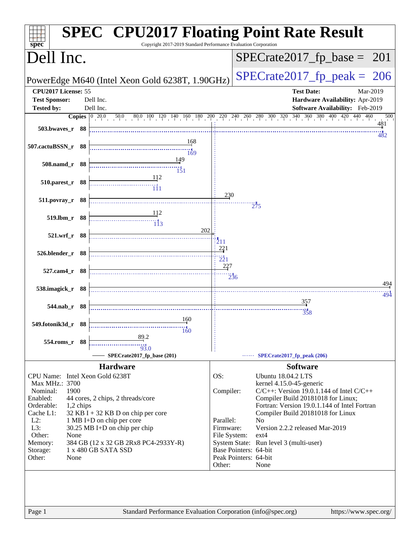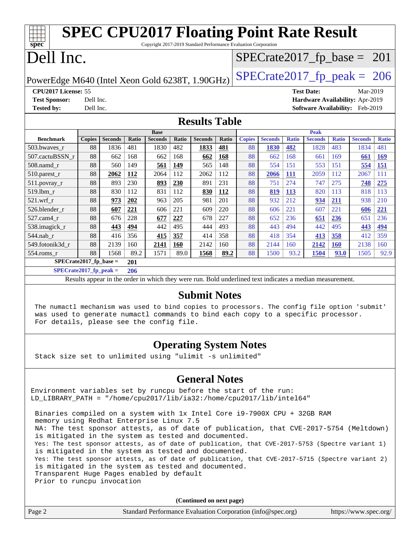|                                                                                  |               |                |              |                |              | <b>SPEC CPU2017 Floating Point Rate Result</b><br>Copyright 2017-2019 Standard Performance Evaluation Corporation |       |               |                               |              |                                 |              |                |              |
|----------------------------------------------------------------------------------|---------------|----------------|--------------|----------------|--------------|-------------------------------------------------------------------------------------------------------------------|-------|---------------|-------------------------------|--------------|---------------------------------|--------------|----------------|--------------|
| spec                                                                             |               |                |              |                |              |                                                                                                                   |       |               | $SPECrate2017_fp\_base = 201$ |              |                                 |              |                |              |
|                                                                                  | Dell Inc.     |                |              |                |              |                                                                                                                   |       |               |                               |              |                                 |              |                |              |
| $SPECTate2017$ _fp_peak = 206<br>PowerEdge M640 (Intel Xeon Gold 6238T, 1.90GHz) |               |                |              |                |              |                                                                                                                   |       |               |                               |              |                                 |              |                |              |
| CPU2017 License: 55                                                              |               |                |              |                |              |                                                                                                                   |       |               |                               |              | <b>Test Date:</b>               |              | Mar-2019       |              |
| <b>Test Sponsor:</b>                                                             | Dell Inc.     |                |              |                |              |                                                                                                                   |       |               |                               |              | Hardware Availability: Apr-2019 |              |                |              |
| <b>Tested by:</b>                                                                | Dell Inc.     |                |              |                |              |                                                                                                                   |       |               |                               |              | Software Availability: Feb-2019 |              |                |              |
| <b>Results Table</b>                                                             |               |                |              |                |              |                                                                                                                   |       |               |                               |              |                                 |              |                |              |
|                                                                                  |               |                |              | <b>Base</b>    |              |                                                                                                                   |       |               |                               |              | Peak                            |              |                |              |
| <b>Benchmark</b>                                                                 | <b>Copies</b> | <b>Seconds</b> | <b>Ratio</b> | <b>Seconds</b> | <b>Ratio</b> | <b>Seconds</b>                                                                                                    | Ratio | <b>Copies</b> | <b>Seconds</b>                | <b>Ratio</b> | <b>Seconds</b>                  | <b>Ratio</b> | <b>Seconds</b> | <b>Ratio</b> |
| 503.bwayes r                                                                     | 88            | 1836           | 481          | 1830           | 482          | 1833                                                                                                              | 481   | 88            | 1830                          | 482          | 1828                            | 483          | 1834           | 481          |
| 507.cactuBSSN r                                                                  | 88            | 662            | 168          | 662            | 168          | 662                                                                                                               | 168   | 88            | 662                           | 168          | 661                             | 169          | 661            | <b>169</b>   |
| 508.namd_r                                                                       | 88            | 560            | 149          | 561            | 149          | 565                                                                                                               | 148   | 88            | 554                           | 151          | 553                             | 151          | 554            | <b>151</b>   |
| 510.parest_r                                                                     | 88            | 2062           | 112          | 2064           | 112          | 2062                                                                                                              | 112   | 88            | 2066                          | <b>111</b>   | 2059                            | 112          | 2067           | 111          |
| 511.povray_r                                                                     | 88            | 893            | 230          | 893            | 230          | 891                                                                                                               | 231   | 88            | 751                           | 274          | 747                             | 275          | 748            | 275          |
| 519.lbm r                                                                        | 88            | 830            | 112          | 831            | 112          | 830                                                                                                               | 112   | 88            | 819                           | <b>113</b>   | 820                             | 113          | 818            | 113          |
| $521$ .wrf r                                                                     | 88            | 973            | 202          | 963            | 205          | 981                                                                                                               | 201   | 88            | 932                           | 212          | 934                             | 211          | 938            | 210          |
| 526.blender_r                                                                    | 88            | 607            | 221          | 606            | 221          | 609                                                                                                               | 220   | 88            | 606                           | 221          | 607                             | 221          | 606            | 221          |
| 527.cam4 r                                                                       | 88            | 676            | 228          | 677            | 227          | 678                                                                                                               | 227   | 88            | 652                           | 236          | 651                             | 236          | 651            | 236          |
| 538.imagick_r                                                                    | 88            | 443            | 494          | 442            | 495          | 444                                                                                                               | 493   | 88            | 443                           | 494          | 442                             | 495          | 443            | 494          |
| 544.nab_r                                                                        | 88            | 416            | 356          | 415            | 357          | 414                                                                                                               | 358   | 88            | 418                           | 354          | 413                             | 358          | 412            | 359          |
| 549.fotonik3d r                                                                  | 88            | 2139           | 160          | 2141           | 160          | 2142                                                                                                              | 160   | 88            | 2144                          | 160          | 2142                            | <b>160</b>   | 2138           | 160          |
| $554$ .roms $r$                                                                  | 88            | 1568           | 89.2         | 1571           | 89.0         | 1568                                                                                                              | 89.2  | 88            | 1500                          | 93.2         | 1504                            | 93.0         | 1505           | 92.9         |
| $SPECrate2017_fp\_base =$                                                        |               |                | 201          |                |              |                                                                                                                   |       |               |                               |              |                                 |              |                |              |
| $SPFCrata2017$ fn neak –                                                         |               |                | 206          |                |              |                                                                                                                   |       |               |                               |              |                                 |              |                |              |

**[SPECrate2017\\_fp\\_peak =](http://www.spec.org/auto/cpu2017/Docs/result-fields.html#SPECrate2017fppeak) 206**

Results appear in the [order in which they were run.](http://www.spec.org/auto/cpu2017/Docs/result-fields.html#RunOrder) Bold underlined text [indicates a median measurement.](http://www.spec.org/auto/cpu2017/Docs/result-fields.html#Median)

#### **[Submit Notes](http://www.spec.org/auto/cpu2017/Docs/result-fields.html#SubmitNotes)**

 The numactl mechanism was used to bind copies to processors. The config file option 'submit' was used to generate numactl commands to bind each copy to a specific processor. For details, please see the config file.

## **[Operating System Notes](http://www.spec.org/auto/cpu2017/Docs/result-fields.html#OperatingSystemNotes)**

Stack size set to unlimited using "ulimit -s unlimited"

## **[General Notes](http://www.spec.org/auto/cpu2017/Docs/result-fields.html#GeneralNotes)**

Environment variables set by runcpu before the start of the run: LD\_LIBRARY\_PATH = "/home/cpu2017/lib/ia32:/home/cpu2017/lib/intel64"

 Binaries compiled on a system with 1x Intel Core i9-7900X CPU + 32GB RAM memory using Redhat Enterprise Linux 7.5 NA: The test sponsor attests, as of date of publication, that CVE-2017-5754 (Meltdown) is mitigated in the system as tested and documented. Yes: The test sponsor attests, as of date of publication, that CVE-2017-5753 (Spectre variant 1) is mitigated in the system as tested and documented. Yes: The test sponsor attests, as of date of publication, that CVE-2017-5715 (Spectre variant 2) is mitigated in the system as tested and documented. Transparent Huge Pages enabled by default Prior to runcpu invocation

|                | (Continued on next page)                                    |                       |
|----------------|-------------------------------------------------------------|-----------------------|
| $\vert$ Page 2 | Standard Performance Evaluation Corporation (info@spec.org) | https://www.spec.org/ |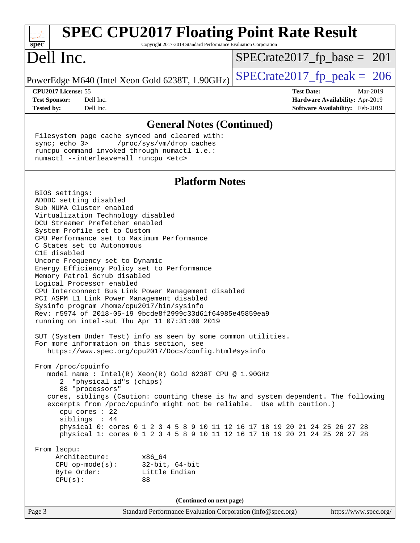| <b>SPEC CPU2017 Floating Point Rate Result</b><br>spec<br>Copyright 2017-2019 Standard Performance Evaluation Corporation                                                               |                                        |
|-----------------------------------------------------------------------------------------------------------------------------------------------------------------------------------------|----------------------------------------|
| Dell Inc.                                                                                                                                                                               | $SPECrate2017_fp\_base = 201$          |
| PowerEdge M640 (Intel Xeon Gold 6238T, 1.90GHz)                                                                                                                                         | $SPECrate2017_fp\_peak = 206$          |
| CPU <sub>2017</sub> License: 55                                                                                                                                                         | <b>Test Date:</b><br>Mar-2019          |
| Dell Inc.<br><b>Test Sponsor:</b>                                                                                                                                                       | <b>Hardware Availability: Apr-2019</b> |
| Dell Inc.<br><b>Tested by:</b>                                                                                                                                                          | <b>Software Availability:</b> Feb-2019 |
| <b>General Notes (Continued)</b>                                                                                                                                                        |                                        |
| Filesystem page cache synced and cleared with:<br>sync: echo 3> /proc/sys/vm/drop_caches<br>runcpu command invoked through numactl i.e.:<br>numactl --interleave=all runcpu <etc></etc> |                                        |

#### **[Platform Notes](http://www.spec.org/auto/cpu2017/Docs/result-fields.html#PlatformNotes)**

Page 3 Standard Performance Evaluation Corporation [\(info@spec.org\)](mailto:info@spec.org) <https://www.spec.org/> BIOS settings: ADDDC setting disabled Sub NUMA Cluster enabled Virtualization Technology disabled DCU Streamer Prefetcher enabled System Profile set to Custom CPU Performance set to Maximum Performance C States set to Autonomous C1E disabled Uncore Frequency set to Dynamic Energy Efficiency Policy set to Performance Memory Patrol Scrub disabled Logical Processor enabled CPU Interconnect Bus Link Power Management disabled PCI ASPM L1 Link Power Management disabled Sysinfo program /home/cpu2017/bin/sysinfo Rev: r5974 of 2018-05-19 9bcde8f2999c33d61f64985e45859ea9 running on intel-sut Thu Apr 11 07:31:00 2019 SUT (System Under Test) info as seen by some common utilities. For more information on this section, see <https://www.spec.org/cpu2017/Docs/config.html#sysinfo> From /proc/cpuinfo model name : Intel(R) Xeon(R) Gold 6238T CPU @ 1.90GHz 2 "physical id"s (chips) 88 "processors" cores, siblings (Caution: counting these is hw and system dependent. The following excerpts from /proc/cpuinfo might not be reliable. Use with caution.) cpu cores : 22 siblings : 44 physical 0: cores 0 1 2 3 4 5 8 9 10 11 12 16 17 18 19 20 21 24 25 26 27 28 physical 1: cores 0 1 2 3 4 5 8 9 10 11 12 16 17 18 19 20 21 24 25 26 27 28 From lscpu: Architecture: x86\_64 CPU op-mode(s): 32-bit, 64-bit Byte Order: Little Endian CPU(s): 88 **(Continued on next page)**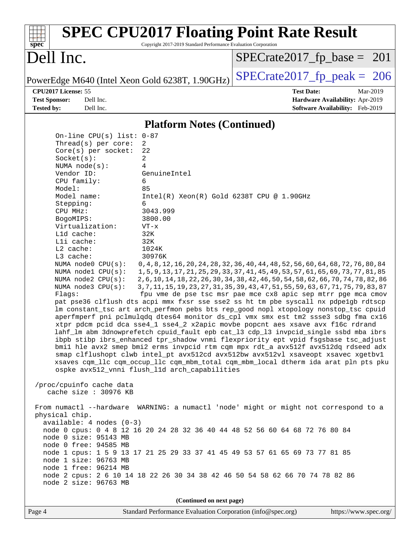| <b>SPEC CPU2017 Floating Point Rate Result</b><br>Copyright 2017-2019 Standard Performance Evaluation Corporation<br>$spec^*$                                                                                                                                                                                                                                                                                                                                                                                                                                                                                                                                                                                                                                                                                                                                                                                                                                                                                                                                                                                                                                                                                                                                                                                                                                                    |                                                                                                                                                                                                                                                                                                                                                                                                                             |
|----------------------------------------------------------------------------------------------------------------------------------------------------------------------------------------------------------------------------------------------------------------------------------------------------------------------------------------------------------------------------------------------------------------------------------------------------------------------------------------------------------------------------------------------------------------------------------------------------------------------------------------------------------------------------------------------------------------------------------------------------------------------------------------------------------------------------------------------------------------------------------------------------------------------------------------------------------------------------------------------------------------------------------------------------------------------------------------------------------------------------------------------------------------------------------------------------------------------------------------------------------------------------------------------------------------------------------------------------------------------------------|-----------------------------------------------------------------------------------------------------------------------------------------------------------------------------------------------------------------------------------------------------------------------------------------------------------------------------------------------------------------------------------------------------------------------------|
| Dell Inc.                                                                                                                                                                                                                                                                                                                                                                                                                                                                                                                                                                                                                                                                                                                                                                                                                                                                                                                                                                                                                                                                                                                                                                                                                                                                                                                                                                        | $SPECrate2017_fp\_base = 201$                                                                                                                                                                                                                                                                                                                                                                                               |
| PowerEdge M640 (Intel Xeon Gold 6238T, 1.90GHz)                                                                                                                                                                                                                                                                                                                                                                                                                                                                                                                                                                                                                                                                                                                                                                                                                                                                                                                                                                                                                                                                                                                                                                                                                                                                                                                                  | $SPECTate2017$ _fp_peak = 206                                                                                                                                                                                                                                                                                                                                                                                               |
| CPU2017 License: 55<br><b>Test Sponsor:</b><br>Dell Inc.<br>Dell Inc.<br><b>Tested by:</b>                                                                                                                                                                                                                                                                                                                                                                                                                                                                                                                                                                                                                                                                                                                                                                                                                                                                                                                                                                                                                                                                                                                                                                                                                                                                                       | <b>Test Date:</b><br>Mar-2019<br>Hardware Availability: Apr-2019<br>Software Availability: Feb-2019                                                                                                                                                                                                                                                                                                                         |
|                                                                                                                                                                                                                                                                                                                                                                                                                                                                                                                                                                                                                                                                                                                                                                                                                                                                                                                                                                                                                                                                                                                                                                                                                                                                                                                                                                                  |                                                                                                                                                                                                                                                                                                                                                                                                                             |
| <b>Platform Notes (Continued)</b><br>On-line CPU(s) list: 0-87                                                                                                                                                                                                                                                                                                                                                                                                                                                                                                                                                                                                                                                                                                                                                                                                                                                                                                                                                                                                                                                                                                                                                                                                                                                                                                                   |                                                                                                                                                                                                                                                                                                                                                                                                                             |
| Thread(s) per core:<br>2<br>Core(s) per socket:<br>22<br>2<br>Socket(s):<br>NUMA $node(s)$ :<br>4<br>Vendor ID:<br>GenuineIntel<br>CPU family:<br>6<br>Model:<br>85<br>Model name:<br>Intel(R) Xeon(R) Gold 6238T CPU @ 1.90GHz<br>Stepping:<br>6<br>3043.999<br>CPU MHz:<br>3800.00<br>BogoMIPS:<br>Virtualization:<br>$VT - x$<br>L1d cache:<br>32K<br>Lli cache:<br>32K<br>L2 cache:<br>1024K<br>L3 cache:<br>30976K<br>NUMA node0 CPU(s):<br>NUMA nodel CPU(s):<br>NUMA node2 CPU(s):<br>NUMA node3 CPU(s):<br>Flags:<br>pat pse36 clflush dts acpi mmx fxsr sse sse2 ss ht tm pbe syscall nx pdpelgb rdtscp<br>lm constant_tsc art arch_perfmon pebs bts rep_good nopl xtopology nonstop_tsc cpuid<br>aperfmperf pni pclmulqdq dtes64 monitor ds_cpl vmx smx est tm2 ssse3 sdbg fma cx16<br>xtpr pdcm pcid dca sse4_1 sse4_2 x2apic movbe popcnt aes xsave avx f16c rdrand<br>lahf_lm abm 3dnowprefetch cpuid_fault epb cat_13 cdp_13 invpcid_single ssbd mba ibrs<br>ibpb stibp ibrs_enhanced tpr_shadow vnmi flexpriority ept vpid fsgsbase tsc_adjust<br>bmil hle avx2 smep bmi2 erms invpcid rtm cqm mpx rdt_a avx512f avx512dq rdseed adx<br>smap clflushopt clwb intel_pt avx512cd avx512bw avx512vl xsaveopt xsavec xgetbvl<br>xsaves cqm_llc cqm_occup_llc cqm_mbm_total cqm_mbm_local dtherm ida arat pln pts pku<br>ospke avx512_vnni flush_l1d arch_capabilities | 0, 4, 8, 12, 16, 20, 24, 28, 32, 36, 40, 44, 48, 52, 56, 60, 64, 68, 72, 76, 80, 84<br>1, 5, 9, 13, 17, 21, 25, 29, 33, 37, 41, 45, 49, 53, 57, 61, 65, 69, 73, 77, 81, 85<br>2, 6, 10, 14, 18, 22, 26, 30, 34, 38, 42, 46, 50, 54, 58, 62, 66, 70, 74, 78, 82, 86<br>3, 7, 11, 15, 19, 23, 27, 31, 35, 39, 43, 47, 51, 55, 59, 63, 67, 71, 75, 79, 83, 87<br>fpu vme de pse tsc msr pae mce cx8 apic sep mtrr pge mca cmov |
| /proc/cpuinfo cache data<br>cache size : 30976 KB                                                                                                                                                                                                                                                                                                                                                                                                                                                                                                                                                                                                                                                                                                                                                                                                                                                                                                                                                                                                                                                                                                                                                                                                                                                                                                                                |                                                                                                                                                                                                                                                                                                                                                                                                                             |
| From numactl --hardware WARNING: a numactl 'node' might or might not correspond to a<br>physical chip.<br>$available: 4 nodes (0-3)$<br>node 0 cpus: 0 4 8 12 16 20 24 28 32 36 40 44 48 52 56 60 64 68 72 76 80 84<br>node 0 size: 95143 MB<br>node 0 free: 94585 MB<br>node 1 cpus: 1 5 9 13 17 21 25 29 33 37 41 45 49 53 57 61 65 69 73 77 81 85<br>node 1 size: 96763 MB<br>node 1 free: 96214 MB<br>node 2 cpus: 2 6 10 14 18 22 26 30 34 38 42 46 50 54 58 62 66 70 74 78 82 86<br>node 2 size: 96763 MB<br>(Continued on next page)                                                                                                                                                                                                                                                                                                                                                                                                                                                                                                                                                                                                                                                                                                                                                                                                                                      |                                                                                                                                                                                                                                                                                                                                                                                                                             |
|                                                                                                                                                                                                                                                                                                                                                                                                                                                                                                                                                                                                                                                                                                                                                                                                                                                                                                                                                                                                                                                                                                                                                                                                                                                                                                                                                                                  |                                                                                                                                                                                                                                                                                                                                                                                                                             |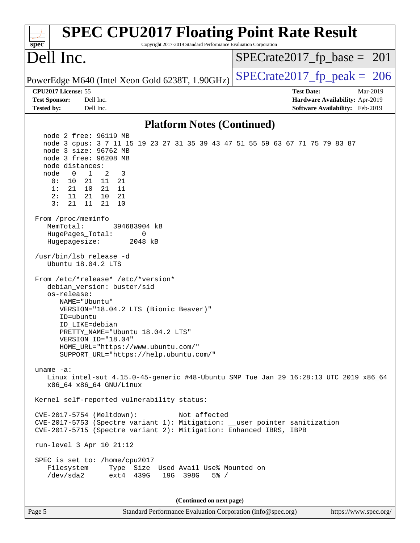| <b>SPEC CPU2017 Floating Point Rate Result</b><br>Copyright 2017-2019 Standard Performance Evaluation Corporation<br>$spec^*$                                                                                                                                                                                                                                                                                                    |                                                                                                     |
|----------------------------------------------------------------------------------------------------------------------------------------------------------------------------------------------------------------------------------------------------------------------------------------------------------------------------------------------------------------------------------------------------------------------------------|-----------------------------------------------------------------------------------------------------|
| Dell Inc.                                                                                                                                                                                                                                                                                                                                                                                                                        | $SPECrate2017_fp\_base = 201$                                                                       |
| PowerEdge M640 (Intel Xeon Gold 6238T, 1.90GHz)                                                                                                                                                                                                                                                                                                                                                                                  | $SPECTate2017$ _fp_peak = 206                                                                       |
| CPU2017 License: 55<br><b>Test Sponsor:</b><br>Dell Inc.<br><b>Tested by:</b><br>Dell Inc.                                                                                                                                                                                                                                                                                                                                       | <b>Test Date:</b><br>Mar-2019<br>Hardware Availability: Apr-2019<br>Software Availability: Feb-2019 |
| <b>Platform Notes (Continued)</b>                                                                                                                                                                                                                                                                                                                                                                                                |                                                                                                     |
| node 2 free: 96119 MB<br>node 3 cpus: 3 7 11 15 19 23 27 31 35 39 43 47 51 55 59 63 67 71 75 79 83 87<br>node 3 size: 96762 MB<br>node 3 free: 96208 MB<br>node distances:<br>node<br>$\mathbf{1}$<br>0<br>2<br>3<br>0 :<br>10<br>21 11 21<br>10 21 11<br>1:<br>21<br>11<br>21 10 21<br>2:<br>3:<br>21<br>21<br>11<br>10<br>From /proc/meminfo<br>MemTotal:<br>394683904 kB<br>HugePages_Total:<br>0<br>Hugepagesize:<br>2048 kB |                                                                                                     |
| /usr/bin/lsb release -d<br>Ubuntu 18.04.2 LTS<br>From /etc/*release* /etc/*version*<br>debian_version: buster/sid<br>os-release:<br>NAME="Ubuntu"<br>VERSION="18.04.2 LTS (Bionic Beaver)"<br>ID=ubuntu<br>ID LIKE=debian<br>PRETTY_NAME="Ubuntu 18.04.2 LTS"<br>VERSION ID="18.04"<br>HOME_URL="https://www.ubuntu.com/"<br>SUPPORT_URL="https://help.ubuntu.com/"                                                              |                                                                                                     |
| uname $-a$ :<br>Linux intel-sut 4.15.0-45-generic #48-Ubuntu SMP Tue Jan 29 16:28:13 UTC 2019 x86_64<br>x86_64 x86_64 GNU/Linux                                                                                                                                                                                                                                                                                                  |                                                                                                     |
| Kernel self-reported vulnerability status:                                                                                                                                                                                                                                                                                                                                                                                       |                                                                                                     |
| CVE-2017-5754 (Meltdown):<br>Not affected<br>CVE-2017-5753 (Spectre variant 1): Mitigation: __user pointer sanitization<br>CVE-2017-5715 (Spectre variant 2): Mitigation: Enhanced IBRS, IBPB<br>run-level 3 Apr 10 21:12<br>SPEC is set to: /home/cpu2017<br>Filesystem<br>Type Size Used Avail Use% Mounted on<br>/dev/sda2<br>ext4 439G<br>19G 398G<br>$5\%$ /                                                                |                                                                                                     |
| (Continued on next page)                                                                                                                                                                                                                                                                                                                                                                                                         |                                                                                                     |
| Page 5<br>Standard Performance Evaluation Corporation (info@spec.org)                                                                                                                                                                                                                                                                                                                                                            | https://www.spec.org/                                                                               |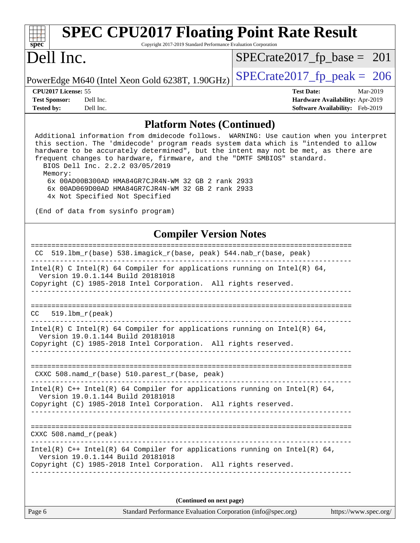| $spec^*$                                  | Copyright 2017-2019 Standard Performance Evaluation Corporation                                                                                                                                                                                                                                                                                                                                                                                                                                                                 |                                                                    |          |
|-------------------------------------------|---------------------------------------------------------------------------------------------------------------------------------------------------------------------------------------------------------------------------------------------------------------------------------------------------------------------------------------------------------------------------------------------------------------------------------------------------------------------------------------------------------------------------------|--------------------------------------------------------------------|----------|
| Dell Inc.                                 |                                                                                                                                                                                                                                                                                                                                                                                                                                                                                                                                 | $SPECrate2017_fp\_base = 201$                                      |          |
|                                           | PowerEdge M640 (Intel Xeon Gold 6238T, 1.90GHz)                                                                                                                                                                                                                                                                                                                                                                                                                                                                                 | $SPECTate2017$ _fp_peak = 206                                      |          |
| CPU2017 License: 55                       |                                                                                                                                                                                                                                                                                                                                                                                                                                                                                                                                 | <b>Test Date:</b>                                                  | Mar-2019 |
| <b>Test Sponsor:</b><br><b>Tested by:</b> | Dell Inc.<br>Dell Inc.                                                                                                                                                                                                                                                                                                                                                                                                                                                                                                          | Hardware Availability: Apr-2019<br>Software Availability: Feb-2019 |          |
|                                           | <b>Platform Notes (Continued)</b>                                                                                                                                                                                                                                                                                                                                                                                                                                                                                               |                                                                    |          |
| Memory:                                   | Additional information from dmidecode follows. WARNING: Use caution when you interpret<br>this section. The 'dmidecode' program reads system data which is "intended to allow<br>hardware to be accurately determined", but the intent may not be met, as there are<br>frequent changes to hardware, firmware, and the "DMTF SMBIOS" standard.<br>BIOS Dell Inc. 2.2.2 03/05/2019<br>6x 00AD00B300AD HMA84GR7CJR4N-WM 32 GB 2 rank 2933<br>6x 00AD069D00AD HMA84GR7CJR4N-WM 32 GB 2 rank 2933<br>4x Not Specified Not Specified |                                                                    |          |
|                                           | (End of data from sysinfo program)                                                                                                                                                                                                                                                                                                                                                                                                                                                                                              |                                                                    |          |
|                                           | <b>Compiler Version Notes</b>                                                                                                                                                                                                                                                                                                                                                                                                                                                                                                   |                                                                    |          |
| CC.                                       | 519.1bm_r(base) 538.imagick_r(base, peak) 544.nab_r(base, peak)                                                                                                                                                                                                                                                                                                                                                                                                                                                                 |                                                                    |          |
|                                           |                                                                                                                                                                                                                                                                                                                                                                                                                                                                                                                                 |                                                                    |          |
|                                           | Intel(R) C Intel(R) 64 Compiler for applications running on Intel(R) 64,<br>Version 19.0.1.144 Build 20181018<br>Copyright (C) 1985-2018 Intel Corporation. All rights reserved.                                                                                                                                                                                                                                                                                                                                                |                                                                    |          |
| CC<br>$519.1bm_r(peak)$                   |                                                                                                                                                                                                                                                                                                                                                                                                                                                                                                                                 |                                                                    |          |
|                                           | Intel(R) C Intel(R) 64 Compiler for applications running on Intel(R) 64,<br>Version 19.0.1.144 Build 20181018<br>Copyright (C) 1985-2018 Intel Corporation. All rights reserved.                                                                                                                                                                                                                                                                                                                                                |                                                                    |          |
|                                           | CXXC 508.namd_r(base) 510.parest_r(base, peak)                                                                                                                                                                                                                                                                                                                                                                                                                                                                                  |                                                                    |          |
|                                           | Intel(R) $C++$ Intel(R) 64 Compiler for applications running on Intel(R) 64,<br>Version 19.0.1.144 Build 20181018<br>Copyright (C) 1985-2018 Intel Corporation. All rights reserved.                                                                                                                                                                                                                                                                                                                                            |                                                                    |          |
| $CXXC$ 508. namd $r$ (peak)               |                                                                                                                                                                                                                                                                                                                                                                                                                                                                                                                                 |                                                                    |          |
|                                           | Intel(R) $C++$ Intel(R) 64 Compiler for applications running on Intel(R) 64,<br>Version 19.0.1.144 Build 20181018<br>Copyright (C) 1985-2018 Intel Corporation. All rights reserved.                                                                                                                                                                                                                                                                                                                                            |                                                                    |          |
|                                           | (Continued on next page)                                                                                                                                                                                                                                                                                                                                                                                                                                                                                                        |                                                                    |          |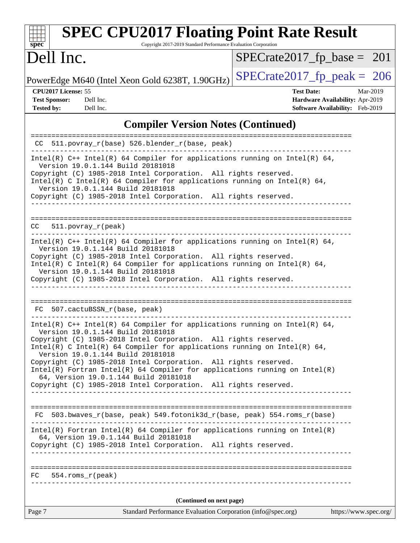| <b>SPEC CPU2017 Floating Point Rate Result</b><br>Copyright 2017-2019 Standard Performance Evaluation Corporation<br>$spec^*$                                                                                                                                                                                                                                                                                                                                                                                                                                        |                                                                                                     |
|----------------------------------------------------------------------------------------------------------------------------------------------------------------------------------------------------------------------------------------------------------------------------------------------------------------------------------------------------------------------------------------------------------------------------------------------------------------------------------------------------------------------------------------------------------------------|-----------------------------------------------------------------------------------------------------|
| Dell Inc.                                                                                                                                                                                                                                                                                                                                                                                                                                                                                                                                                            | $SPECrate2017_fp\_base = 201$                                                                       |
| PowerEdge M640 (Intel Xeon Gold 6238T, 1.90GHz)                                                                                                                                                                                                                                                                                                                                                                                                                                                                                                                      | $SPECrate2017_fp\_peak = 206$                                                                       |
| CPU2017 License: 55<br><b>Test Sponsor:</b><br>Dell Inc.<br><b>Tested by:</b><br>Dell Inc.                                                                                                                                                                                                                                                                                                                                                                                                                                                                           | <b>Test Date:</b><br>Mar-2019<br>Hardware Availability: Apr-2019<br>Software Availability: Feb-2019 |
| <b>Compiler Version Notes (Continued)</b>                                                                                                                                                                                                                                                                                                                                                                                                                                                                                                                            |                                                                                                     |
| CC 511.povray_r(base) 526.blender_r(base, peak)                                                                                                                                                                                                                                                                                                                                                                                                                                                                                                                      |                                                                                                     |
| Intel(R) $C++$ Intel(R) 64 Compiler for applications running on Intel(R) 64,<br>Version 19.0.1.144 Build 20181018<br>Copyright (C) 1985-2018 Intel Corporation. All rights reserved.<br>Intel(R) C Intel(R) 64 Compiler for applications running on Intel(R) 64,<br>Version 19.0.1.144 Build 20181018<br>Copyright (C) 1985-2018 Intel Corporation. All rights reserved.                                                                                                                                                                                             |                                                                                                     |
| $CC = 511.povray_r (peak)$                                                                                                                                                                                                                                                                                                                                                                                                                                                                                                                                           |                                                                                                     |
| Intel(R) $C++$ Intel(R) 64 Compiler for applications running on Intel(R) 64,<br>Version 19.0.1.144 Build 20181018<br>Copyright (C) 1985-2018 Intel Corporation. All rights reserved.<br>Intel(R) C Intel(R) 64 Compiler for applications running on Intel(R) 64,<br>Version 19.0.1.144 Build 20181018<br>Copyright (C) 1985-2018 Intel Corporation. All rights reserved.                                                                                                                                                                                             |                                                                                                     |
| FC 507.cactuBSSN_r(base, peak)                                                                                                                                                                                                                                                                                                                                                                                                                                                                                                                                       |                                                                                                     |
| Intel(R) $C++$ Intel(R) 64 Compiler for applications running on Intel(R) 64,<br>Version 19.0.1.144 Build 20181018<br>Copyright (C) 1985-2018 Intel Corporation. All rights reserved.<br>Intel(R) C Intel(R) 64 Compiler for applications running on Intel(R) 64,<br>Version 19.0.1.144 Build 20181018<br>Copyright (C) 1985-2018 Intel Corporation. All rights reserved.<br>$Intel(R)$ Fortran Intel(R) 64 Compiler for applications running on Intel(R)<br>64, Version 19.0.1.144 Build 20181018<br>Copyright (C) 1985-2018 Intel Corporation. All rights reserved. |                                                                                                     |
| FC 503.bwaves_r(base, peak) 549.fotonik3d_r(base, peak) 554.roms_r(base)                                                                                                                                                                                                                                                                                                                                                                                                                                                                                             |                                                                                                     |
| $Intel(R)$ Fortran Intel(R) 64 Compiler for applications running on Intel(R)<br>64, Version 19.0.1.144 Build 20181018<br>Copyright (C) 1985-2018 Intel Corporation. All rights reserved.                                                                                                                                                                                                                                                                                                                                                                             |                                                                                                     |
| $FC 554.rows_r (peak)$                                                                                                                                                                                                                                                                                                                                                                                                                                                                                                                                               |                                                                                                     |
| (Continued on next page)                                                                                                                                                                                                                                                                                                                                                                                                                                                                                                                                             |                                                                                                     |
| Page 7<br>Standard Performance Evaluation Corporation (info@spec.org)                                                                                                                                                                                                                                                                                                                                                                                                                                                                                                | https://www.spec.org/                                                                               |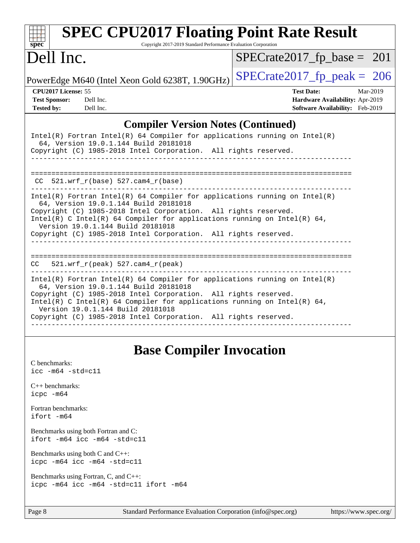| <b>SPEC CPU2017 Floating Point Rate Result</b><br>$spec^*$<br>Copyright 2017-2019 Standard Performance Evaluation Corporation                                                                                                                                                                                                                                                |                                        |
|------------------------------------------------------------------------------------------------------------------------------------------------------------------------------------------------------------------------------------------------------------------------------------------------------------------------------------------------------------------------------|----------------------------------------|
| Dell Inc.                                                                                                                                                                                                                                                                                                                                                                    | $SPECrate2017_fp\_base = 201$          |
| PowerEdge M640 (Intel Xeon Gold 6238T, 1.90GHz)                                                                                                                                                                                                                                                                                                                              | $SPECrate2017_fp\_peak = 206$          |
| CPU2017 License: 55                                                                                                                                                                                                                                                                                                                                                          | <b>Test Date:</b><br>Mar-2019          |
| Dell Inc.<br><b>Test Sponsor:</b>                                                                                                                                                                                                                                                                                                                                            | Hardware Availability: Apr-2019        |
| <b>Tested by:</b><br>Dell Inc.                                                                                                                                                                                                                                                                                                                                               | <b>Software Availability:</b> Feb-2019 |
| <b>Compiler Version Notes (Continued)</b>                                                                                                                                                                                                                                                                                                                                    |                                        |
| $Intel(R)$ Fortran Intel(R) 64 Compiler for applications running on Intel(R)<br>64, Version 19.0.1.144 Build 20181018<br>Copyright (C) 1985-2018 Intel Corporation. All rights reserved.                                                                                                                                                                                     |                                        |
| $CC$ 521.wrf_ $r(base)$ 527.cam4_ $r(base)$                                                                                                                                                                                                                                                                                                                                  |                                        |
| Intel(R) Fortran Intel(R) 64 Compiler for applications running on Intel(R)<br>64, Version 19.0.1.144 Build 20181018<br>Copyright (C) 1985-2018 Intel Corporation. All rights reserved.<br>Intel(R) C Intel(R) 64 Compiler for applications running on Intel(R) 64,<br>Version 19.0.1.144 Build 20181018                                                                      |                                        |
| Copyright (C) 1985-2018 Intel Corporation. All rights reserved.                                                                                                                                                                                                                                                                                                              |                                        |
| $521.wrf_r(peak) 527.cam4_r(peak)$<br>CC                                                                                                                                                                                                                                                                                                                                     |                                        |
| $Intel(R)$ Fortran Intel(R) 64 Compiler for applications running on Intel(R)<br>64, Version 19.0.1.144 Build 20181018<br>Copyright (C) 1985-2018 Intel Corporation. All rights reserved.<br>Intel(R) C Intel(R) 64 Compiler for applications running on Intel(R) 64,<br>Version 19.0.1.144 Build 20181018<br>Copyright (C) 1985-2018 Intel Corporation. All rights reserved. |                                        |
|                                                                                                                                                                                                                                                                                                                                                                              |                                        |

## **[Base Compiler Invocation](http://www.spec.org/auto/cpu2017/Docs/result-fields.html#BaseCompilerInvocation)**

| C benchmarks:<br>$\text{icc}$ -m64 -std=c11                                     |
|---------------------------------------------------------------------------------|
| $C_{++}$ benchmarks:<br>icpc -m64                                               |
| Fortran benchmarks:<br>ifort -m64                                               |
| Benchmarks using both Fortran and C:<br>$ifort$ -m64 $ice$ -m64 -std=c11        |
| Benchmarks using both $C$ and $C_{++}$ :<br>$icpc$ -m64 $icc$ -m64 -std=c11     |
| Benchmarks using Fortran, C, and C++:<br>icpc -m64 icc -m64 -std=c11 ifort -m64 |
|                                                                                 |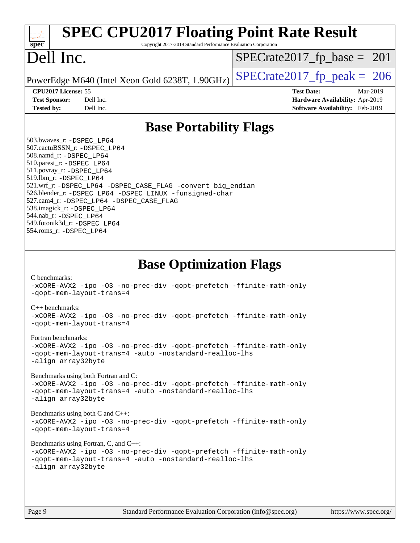| <b>SPEC CPU2017 Floating Point Rate Result</b><br>Copyright 2017-2019 Standard Performance Evaluation Corporation<br>spec <sup>®</sup>                                                                                                                                                                                                                                                                                                                                                                                                                                                                                                                                                                                                                                                                                                                                                                                                                                                                 |                                                                                                     |
|--------------------------------------------------------------------------------------------------------------------------------------------------------------------------------------------------------------------------------------------------------------------------------------------------------------------------------------------------------------------------------------------------------------------------------------------------------------------------------------------------------------------------------------------------------------------------------------------------------------------------------------------------------------------------------------------------------------------------------------------------------------------------------------------------------------------------------------------------------------------------------------------------------------------------------------------------------------------------------------------------------|-----------------------------------------------------------------------------------------------------|
| Dell Inc.                                                                                                                                                                                                                                                                                                                                                                                                                                                                                                                                                                                                                                                                                                                                                                                                                                                                                                                                                                                              | $SPECrate2017_fp\_base = 201$                                                                       |
| PowerEdge M640 (Intel Xeon Gold 6238T, 1.90GHz)                                                                                                                                                                                                                                                                                                                                                                                                                                                                                                                                                                                                                                                                                                                                                                                                                                                                                                                                                        | $SPECrate2017_fp\_peak = 206$                                                                       |
| CPU2017 License: 55<br><b>Test Sponsor:</b><br>Dell Inc.<br><b>Tested by:</b><br>Dell Inc.                                                                                                                                                                                                                                                                                                                                                                                                                                                                                                                                                                                                                                                                                                                                                                                                                                                                                                             | <b>Test Date:</b><br>Mar-2019<br>Hardware Availability: Apr-2019<br>Software Availability: Feb-2019 |
| <b>Base Portability Flags</b>                                                                                                                                                                                                                                                                                                                                                                                                                                                                                                                                                                                                                                                                                                                                                                                                                                                                                                                                                                          |                                                                                                     |
| 503.bwaves_r: -DSPEC LP64<br>507.cactuBSSN_r: -DSPEC_LP64<br>508.namd_r: -DSPEC_LP64<br>510.parest_r: -DSPEC LP64<br>511.povray_r: -DSPEC_LP64<br>519.lbm_r: -DSPEC_LP64<br>521.wrf_r: -DSPEC_LP64 -DSPEC_CASE_FLAG -convert big_endian<br>526.blender_r: -DSPEC_LP64 -DSPEC_LINUX -funsigned-char<br>527.cam4_r: -DSPEC_LP64 -DSPEC_CASE_FLAG<br>538.imagick_r: -DSPEC_LP64<br>544.nab_r: -DSPEC LP64<br>549.fotonik3d_r: -DSPEC_LP64<br>554.roms_r: -DSPEC LP64                                                                                                                                                                                                                                                                                                                                                                                                                                                                                                                                      |                                                                                                     |
| <b>Base Optimization Flags</b><br>C benchmarks:<br>-xCORE-AVX2 -ipo -03 -no-prec-div -qopt-prefetch -ffinite-math-only<br>-gopt-mem-layout-trans=4<br>$C_{++}$ benchmarks:<br>-xCORE-AVX2 -ipo -03 -no-prec-div -qopt-prefetch -ffinite-math-only<br>-qopt-mem-layout-trans=4<br>Fortran benchmarks:<br>-xCORE-AVX2 -ipo -03 -no-prec-div -qopt-prefetch -ffinite-math-only<br>-qopt-mem-layout-trans=4 -auto -nostandard-realloc-lhs<br>-align array32byte<br>Benchmarks using both Fortran and C:<br>-xCORE-AVX2 -ipo -03 -no-prec-div -qopt-prefetch -ffinite-math-only<br>-qopt-mem-layout-trans=4 -auto -nostandard-realloc-lhs<br>-align array32byte<br>Benchmarks using both $C$ and $C++$ :<br>-xCORE-AVX2 -ipo -03 -no-prec-div -qopt-prefetch -ffinite-math-only<br>-qopt-mem-layout-trans=4<br>Benchmarks using Fortran, C, and C++:<br>-xCORE-AVX2 -ipo -03 -no-prec-div -qopt-prefetch -ffinite-math-only<br>-qopt-mem-layout-trans=4 -auto -nostandard-realloc-lhs<br>-align array32byte |                                                                                                     |
| Page 9<br>Standard Performance Evaluation Corporation (info@spec.org)                                                                                                                                                                                                                                                                                                                                                                                                                                                                                                                                                                                                                                                                                                                                                                                                                                                                                                                                  | https://www.spec.org/                                                                               |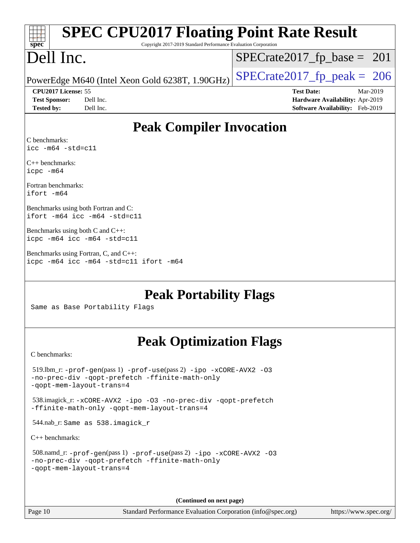| <b>SPEC CPU2017 Floating Point Rate Result</b><br>$sp\overline{ec}$<br>Copyright 2017-2019 Standard Performance Evaluation Corporation               |                                                                                                     |
|------------------------------------------------------------------------------------------------------------------------------------------------------|-----------------------------------------------------------------------------------------------------|
| Dell Inc.                                                                                                                                            | $SPECrate2017_fp\_base = 201$                                                                       |
| PowerEdge M640 (Intel Xeon Gold 6238T, 1.90GHz)                                                                                                      | $SPECrate2017_fp\_peak = 206$                                                                       |
| CPU2017 License: 55<br><b>Test Sponsor:</b><br>Dell Inc.<br><b>Tested by:</b><br>Dell Inc.                                                           | <b>Test Date:</b><br>Mar-2019<br>Hardware Availability: Apr-2019<br>Software Availability: Feb-2019 |
| <b>Peak Compiler Invocation</b>                                                                                                                      |                                                                                                     |
| C benchmarks:<br>$\texttt{icc -m64 -std=cl1}$                                                                                                        |                                                                                                     |
| $C_{++}$ benchmarks:<br>icpc -m64                                                                                                                    |                                                                                                     |
| Fortran benchmarks:<br>ifort -m64                                                                                                                    |                                                                                                     |
| Benchmarks using both Fortran and C:<br>ifort -m64 icc -m64 -std=c11                                                                                 |                                                                                                     |
| Benchmarks using both $C$ and $C++$ :<br>icpc -m64 icc -m64 -std=c11                                                                                 |                                                                                                     |
| Benchmarks using Fortran, C, and C++:<br>icpc -m64 icc -m64 -std=c11 ifort -m64                                                                      |                                                                                                     |
| <b>Peak Portability Flags</b>                                                                                                                        |                                                                                                     |
| Same as Base Portability Flags                                                                                                                       |                                                                                                     |
| <b>Peak Optimization Flags</b>                                                                                                                       |                                                                                                     |
| C benchmarks:                                                                                                                                        |                                                                                                     |
| $519$ .lbm_r: -prof-qen(pass 1) -prof-use(pass 2) -ipo -xCORE-AVX2 -03<br>-no-prec-div -qopt-prefetch -ffinite-math-only<br>-qopt-mem-layout-trans=4 |                                                                                                     |
| 538.imagick_r: -xCORE-AVX2 -ipo -03 -no-prec-div -qopt-prefetch<br>-ffinite-math-only -qopt-mem-layout-trans=4                                       |                                                                                                     |
| 544.nab_r: Same as 538.imagick_r                                                                                                                     |                                                                                                     |
| $C_{++}$ benchmarks:                                                                                                                                 |                                                                                                     |
| 508.namd_r: -prof-gen(pass 1) -prof-use(pass 2) -ipo -xCORE-AVX2 -03<br>-no-prec-div -qopt-prefetch -ffinite-math-only<br>-qopt-mem-layout-trans=4   |                                                                                                     |
|                                                                                                                                                      |                                                                                                     |

**(Continued on next page)**

Page 10 Standard Performance Evaluation Corporation [\(info@spec.org\)](mailto:info@spec.org) <https://www.spec.org/>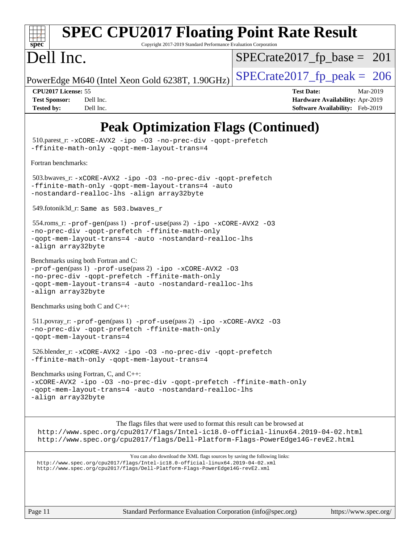

# **[SPEC CPU2017 Floating Point Rate Result](http://www.spec.org/auto/cpu2017/Docs/result-fields.html#SPECCPU2017FloatingPointRateResult)**

Copyright 2017-2019 Standard Performance Evaluation Corporation

## Dell Inc.

[SPECrate2017\\_fp\\_base =](http://www.spec.org/auto/cpu2017/Docs/result-fields.html#SPECrate2017fpbase) 201

PowerEdge M640 (Intel Xeon Gold 6238T, 1.90GHz)  $\left|$  [SPECrate2017\\_fp\\_peak =](http://www.spec.org/auto/cpu2017/Docs/result-fields.html#SPECrate2017fppeak) 206

**[CPU2017 License:](http://www.spec.org/auto/cpu2017/Docs/result-fields.html#CPU2017License)** 55 **[Test Date:](http://www.spec.org/auto/cpu2017/Docs/result-fields.html#TestDate)** Mar-2019 **[Test Sponsor:](http://www.spec.org/auto/cpu2017/Docs/result-fields.html#TestSponsor)** Dell Inc. **[Hardware Availability:](http://www.spec.org/auto/cpu2017/Docs/result-fields.html#HardwareAvailability)** Apr-2019 **[Tested by:](http://www.spec.org/auto/cpu2017/Docs/result-fields.html#Testedby)** Dell Inc. **[Software Availability:](http://www.spec.org/auto/cpu2017/Docs/result-fields.html#SoftwareAvailability)** Feb-2019

## **[Peak Optimization Flags \(Continued\)](http://www.spec.org/auto/cpu2017/Docs/result-fields.html#PeakOptimizationFlags)**

 510.parest\_r: [-xCORE-AVX2](http://www.spec.org/cpu2017/results/res2019q2/cpu2017-20190527-14547.flags.html#user_peakCXXOPTIMIZE510_parest_r_f-xCORE-AVX2) [-ipo](http://www.spec.org/cpu2017/results/res2019q2/cpu2017-20190527-14547.flags.html#user_peakCXXOPTIMIZE510_parest_r_f-ipo) [-O3](http://www.spec.org/cpu2017/results/res2019q2/cpu2017-20190527-14547.flags.html#user_peakCXXOPTIMIZE510_parest_r_f-O3) [-no-prec-div](http://www.spec.org/cpu2017/results/res2019q2/cpu2017-20190527-14547.flags.html#user_peakCXXOPTIMIZE510_parest_r_f-no-prec-div) [-qopt-prefetch](http://www.spec.org/cpu2017/results/res2019q2/cpu2017-20190527-14547.flags.html#user_peakCXXOPTIMIZE510_parest_r_f-qopt-prefetch) [-ffinite-math-only](http://www.spec.org/cpu2017/results/res2019q2/cpu2017-20190527-14547.flags.html#user_peakCXXOPTIMIZE510_parest_r_f_finite_math_only_cb91587bd2077682c4b38af759c288ed7c732db004271a9512da14a4f8007909a5f1427ecbf1a0fb78ff2a814402c6114ac565ca162485bbcae155b5e4258871) [-qopt-mem-layout-trans=4](http://www.spec.org/cpu2017/results/res2019q2/cpu2017-20190527-14547.flags.html#user_peakCXXOPTIMIZE510_parest_r_f-qopt-mem-layout-trans_fa39e755916c150a61361b7846f310bcdf6f04e385ef281cadf3647acec3f0ae266d1a1d22d972a7087a248fd4e6ca390a3634700869573d231a252c784941a8) [Fortran benchmarks](http://www.spec.org/auto/cpu2017/Docs/result-fields.html#Fortranbenchmarks): 503.bwaves\_r: [-xCORE-AVX2](http://www.spec.org/cpu2017/results/res2019q2/cpu2017-20190527-14547.flags.html#user_peakFOPTIMIZE503_bwaves_r_f-xCORE-AVX2) [-ipo](http://www.spec.org/cpu2017/results/res2019q2/cpu2017-20190527-14547.flags.html#user_peakFOPTIMIZE503_bwaves_r_f-ipo) [-O3](http://www.spec.org/cpu2017/results/res2019q2/cpu2017-20190527-14547.flags.html#user_peakFOPTIMIZE503_bwaves_r_f-O3) [-no-prec-div](http://www.spec.org/cpu2017/results/res2019q2/cpu2017-20190527-14547.flags.html#user_peakFOPTIMIZE503_bwaves_r_f-no-prec-div) [-qopt-prefetch](http://www.spec.org/cpu2017/results/res2019q2/cpu2017-20190527-14547.flags.html#user_peakFOPTIMIZE503_bwaves_r_f-qopt-prefetch) [-ffinite-math-only](http://www.spec.org/cpu2017/results/res2019q2/cpu2017-20190527-14547.flags.html#user_peakFOPTIMIZE503_bwaves_r_f_finite_math_only_cb91587bd2077682c4b38af759c288ed7c732db004271a9512da14a4f8007909a5f1427ecbf1a0fb78ff2a814402c6114ac565ca162485bbcae155b5e4258871) [-qopt-mem-layout-trans=4](http://www.spec.org/cpu2017/results/res2019q2/cpu2017-20190527-14547.flags.html#user_peakFOPTIMIZE503_bwaves_r_f-qopt-mem-layout-trans_fa39e755916c150a61361b7846f310bcdf6f04e385ef281cadf3647acec3f0ae266d1a1d22d972a7087a248fd4e6ca390a3634700869573d231a252c784941a8) [-auto](http://www.spec.org/cpu2017/results/res2019q2/cpu2017-20190527-14547.flags.html#user_peakFOPTIMIZE503_bwaves_r_f-auto) [-nostandard-realloc-lhs](http://www.spec.org/cpu2017/results/res2019q2/cpu2017-20190527-14547.flags.html#user_peakEXTRA_FOPTIMIZE503_bwaves_r_f_2003_std_realloc_82b4557e90729c0f113870c07e44d33d6f5a304b4f63d4c15d2d0f1fab99f5daaed73bdb9275d9ae411527f28b936061aa8b9c8f2d63842963b95c9dd6426b8a) [-align array32byte](http://www.spec.org/cpu2017/results/res2019q2/cpu2017-20190527-14547.flags.html#user_peakEXTRA_FOPTIMIZE503_bwaves_r_align_array32byte_b982fe038af199962ba9a80c053b8342c548c85b40b8e86eb3cc33dee0d7986a4af373ac2d51c3f7cf710a18d62fdce2948f201cd044323541f22fc0fffc51b6) 549.fotonik3d\_r: Same as 503.bwaves\_r 554.roms\_r: [-prof-gen](http://www.spec.org/cpu2017/results/res2019q2/cpu2017-20190527-14547.flags.html#user_peakPASS1_FFLAGSPASS1_LDFLAGS554_roms_r_prof_gen_5aa4926d6013ddb2a31985c654b3eb18169fc0c6952a63635c234f711e6e63dd76e94ad52365559451ec499a2cdb89e4dc58ba4c67ef54ca681ffbe1461d6b36)(pass 1) [-prof-use](http://www.spec.org/cpu2017/results/res2019q2/cpu2017-20190527-14547.flags.html#user_peakPASS2_FFLAGSPASS2_LDFLAGS554_roms_r_prof_use_1a21ceae95f36a2b53c25747139a6c16ca95bd9def2a207b4f0849963b97e94f5260e30a0c64f4bb623698870e679ca08317ef8150905d41bd88c6f78df73f19)(pass 2) [-ipo](http://www.spec.org/cpu2017/results/res2019q2/cpu2017-20190527-14547.flags.html#user_peakPASS1_FOPTIMIZEPASS2_FOPTIMIZE554_roms_r_f-ipo) [-xCORE-AVX2](http://www.spec.org/cpu2017/results/res2019q2/cpu2017-20190527-14547.flags.html#user_peakPASS2_FOPTIMIZE554_roms_r_f-xCORE-AVX2) [-O3](http://www.spec.org/cpu2017/results/res2019q2/cpu2017-20190527-14547.flags.html#user_peakPASS1_FOPTIMIZEPASS2_FOPTIMIZE554_roms_r_f-O3) [-no-prec-div](http://www.spec.org/cpu2017/results/res2019q2/cpu2017-20190527-14547.flags.html#user_peakPASS1_FOPTIMIZEPASS2_FOPTIMIZE554_roms_r_f-no-prec-div) [-qopt-prefetch](http://www.spec.org/cpu2017/results/res2019q2/cpu2017-20190527-14547.flags.html#user_peakPASS1_FOPTIMIZEPASS2_FOPTIMIZE554_roms_r_f-qopt-prefetch) [-ffinite-math-only](http://www.spec.org/cpu2017/results/res2019q2/cpu2017-20190527-14547.flags.html#user_peakPASS1_FOPTIMIZEPASS2_FOPTIMIZE554_roms_r_f_finite_math_only_cb91587bd2077682c4b38af759c288ed7c732db004271a9512da14a4f8007909a5f1427ecbf1a0fb78ff2a814402c6114ac565ca162485bbcae155b5e4258871) [-qopt-mem-layout-trans=4](http://www.spec.org/cpu2017/results/res2019q2/cpu2017-20190527-14547.flags.html#user_peakPASS1_FOPTIMIZEPASS2_FOPTIMIZE554_roms_r_f-qopt-mem-layout-trans_fa39e755916c150a61361b7846f310bcdf6f04e385ef281cadf3647acec3f0ae266d1a1d22d972a7087a248fd4e6ca390a3634700869573d231a252c784941a8) [-auto](http://www.spec.org/cpu2017/results/res2019q2/cpu2017-20190527-14547.flags.html#user_peakPASS2_FOPTIMIZE554_roms_r_f-auto) [-nostandard-realloc-lhs](http://www.spec.org/cpu2017/results/res2019q2/cpu2017-20190527-14547.flags.html#user_peakEXTRA_FOPTIMIZE554_roms_r_f_2003_std_realloc_82b4557e90729c0f113870c07e44d33d6f5a304b4f63d4c15d2d0f1fab99f5daaed73bdb9275d9ae411527f28b936061aa8b9c8f2d63842963b95c9dd6426b8a) [-align array32byte](http://www.spec.org/cpu2017/results/res2019q2/cpu2017-20190527-14547.flags.html#user_peakEXTRA_FOPTIMIZE554_roms_r_align_array32byte_b982fe038af199962ba9a80c053b8342c548c85b40b8e86eb3cc33dee0d7986a4af373ac2d51c3f7cf710a18d62fdce2948f201cd044323541f22fc0fffc51b6) [Benchmarks using both Fortran and C](http://www.spec.org/auto/cpu2017/Docs/result-fields.html#BenchmarksusingbothFortranandC): [-prof-gen](http://www.spec.org/cpu2017/results/res2019q2/cpu2017-20190527-14547.flags.html#user_CC_FCpeak_prof_gen_5aa4926d6013ddb2a31985c654b3eb18169fc0c6952a63635c234f711e6e63dd76e94ad52365559451ec499a2cdb89e4dc58ba4c67ef54ca681ffbe1461d6b36)(pass 1) [-prof-use](http://www.spec.org/cpu2017/results/res2019q2/cpu2017-20190527-14547.flags.html#user_CC_FCpeak_prof_use_1a21ceae95f36a2b53c25747139a6c16ca95bd9def2a207b4f0849963b97e94f5260e30a0c64f4bb623698870e679ca08317ef8150905d41bd88c6f78df73f19)(pass 2) [-ipo](http://www.spec.org/cpu2017/results/res2019q2/cpu2017-20190527-14547.flags.html#user_CC_FCpeak_f-ipo) [-xCORE-AVX2](http://www.spec.org/cpu2017/results/res2019q2/cpu2017-20190527-14547.flags.html#user_CC_FCpeak_f-xCORE-AVX2) [-O3](http://www.spec.org/cpu2017/results/res2019q2/cpu2017-20190527-14547.flags.html#user_CC_FCpeak_f-O3) [-no-prec-div](http://www.spec.org/cpu2017/results/res2019q2/cpu2017-20190527-14547.flags.html#user_CC_FCpeak_f-no-prec-div) [-qopt-prefetch](http://www.spec.org/cpu2017/results/res2019q2/cpu2017-20190527-14547.flags.html#user_CC_FCpeak_f-qopt-prefetch) [-ffinite-math-only](http://www.spec.org/cpu2017/results/res2019q2/cpu2017-20190527-14547.flags.html#user_CC_FCpeak_f_finite_math_only_cb91587bd2077682c4b38af759c288ed7c732db004271a9512da14a4f8007909a5f1427ecbf1a0fb78ff2a814402c6114ac565ca162485bbcae155b5e4258871) [-qopt-mem-layout-trans=4](http://www.spec.org/cpu2017/results/res2019q2/cpu2017-20190527-14547.flags.html#user_CC_FCpeak_f-qopt-mem-layout-trans_fa39e755916c150a61361b7846f310bcdf6f04e385ef281cadf3647acec3f0ae266d1a1d22d972a7087a248fd4e6ca390a3634700869573d231a252c784941a8) [-auto](http://www.spec.org/cpu2017/results/res2019q2/cpu2017-20190527-14547.flags.html#user_CC_FCpeak_f-auto) [-nostandard-realloc-lhs](http://www.spec.org/cpu2017/results/res2019q2/cpu2017-20190527-14547.flags.html#user_CC_FCpeak_f_2003_std_realloc_82b4557e90729c0f113870c07e44d33d6f5a304b4f63d4c15d2d0f1fab99f5daaed73bdb9275d9ae411527f28b936061aa8b9c8f2d63842963b95c9dd6426b8a) [-align array32byte](http://www.spec.org/cpu2017/results/res2019q2/cpu2017-20190527-14547.flags.html#user_CC_FCpeak_align_array32byte_b982fe038af199962ba9a80c053b8342c548c85b40b8e86eb3cc33dee0d7986a4af373ac2d51c3f7cf710a18d62fdce2948f201cd044323541f22fc0fffc51b6) [Benchmarks using both C and C++](http://www.spec.org/auto/cpu2017/Docs/result-fields.html#BenchmarksusingbothCandCXX): 511.povray\_r: [-prof-gen](http://www.spec.org/cpu2017/results/res2019q2/cpu2017-20190527-14547.flags.html#user_peakPASS1_CFLAGSPASS1_CXXFLAGSPASS1_LDFLAGS511_povray_r_prof_gen_5aa4926d6013ddb2a31985c654b3eb18169fc0c6952a63635c234f711e6e63dd76e94ad52365559451ec499a2cdb89e4dc58ba4c67ef54ca681ffbe1461d6b36)(pass 1) [-prof-use](http://www.spec.org/cpu2017/results/res2019q2/cpu2017-20190527-14547.flags.html#user_peakPASS2_CFLAGSPASS2_CXXFLAGSPASS2_LDFLAGS511_povray_r_prof_use_1a21ceae95f36a2b53c25747139a6c16ca95bd9def2a207b4f0849963b97e94f5260e30a0c64f4bb623698870e679ca08317ef8150905d41bd88c6f78df73f19)(pass 2) [-ipo](http://www.spec.org/cpu2017/results/res2019q2/cpu2017-20190527-14547.flags.html#user_peakPASS1_COPTIMIZEPASS1_CXXOPTIMIZEPASS2_COPTIMIZEPASS2_CXXOPTIMIZE511_povray_r_f-ipo) [-xCORE-AVX2](http://www.spec.org/cpu2017/results/res2019q2/cpu2017-20190527-14547.flags.html#user_peakPASS2_COPTIMIZEPASS2_CXXOPTIMIZE511_povray_r_f-xCORE-AVX2) [-O3](http://www.spec.org/cpu2017/results/res2019q2/cpu2017-20190527-14547.flags.html#user_peakPASS1_COPTIMIZEPASS1_CXXOPTIMIZEPASS2_COPTIMIZEPASS2_CXXOPTIMIZE511_povray_r_f-O3) [-no-prec-div](http://www.spec.org/cpu2017/results/res2019q2/cpu2017-20190527-14547.flags.html#user_peakPASS1_COPTIMIZEPASS1_CXXOPTIMIZEPASS2_COPTIMIZEPASS2_CXXOPTIMIZE511_povray_r_f-no-prec-div) [-qopt-prefetch](http://www.spec.org/cpu2017/results/res2019q2/cpu2017-20190527-14547.flags.html#user_peakPASS1_COPTIMIZEPASS1_CXXOPTIMIZEPASS2_COPTIMIZEPASS2_CXXOPTIMIZE511_povray_r_f-qopt-prefetch) [-ffinite-math-only](http://www.spec.org/cpu2017/results/res2019q2/cpu2017-20190527-14547.flags.html#user_peakPASS1_COPTIMIZEPASS1_CXXOPTIMIZEPASS2_COPTIMIZEPASS2_CXXOPTIMIZE511_povray_r_f_finite_math_only_cb91587bd2077682c4b38af759c288ed7c732db004271a9512da14a4f8007909a5f1427ecbf1a0fb78ff2a814402c6114ac565ca162485bbcae155b5e4258871) [-qopt-mem-layout-trans=4](http://www.spec.org/cpu2017/results/res2019q2/cpu2017-20190527-14547.flags.html#user_peakPASS1_COPTIMIZEPASS1_CXXOPTIMIZEPASS2_COPTIMIZEPASS2_CXXOPTIMIZE511_povray_r_f-qopt-mem-layout-trans_fa39e755916c150a61361b7846f310bcdf6f04e385ef281cadf3647acec3f0ae266d1a1d22d972a7087a248fd4e6ca390a3634700869573d231a252c784941a8) 526.blender\_r: [-xCORE-AVX2](http://www.spec.org/cpu2017/results/res2019q2/cpu2017-20190527-14547.flags.html#user_peakCOPTIMIZECXXOPTIMIZE526_blender_r_f-xCORE-AVX2) [-ipo](http://www.spec.org/cpu2017/results/res2019q2/cpu2017-20190527-14547.flags.html#user_peakCOPTIMIZECXXOPTIMIZE526_blender_r_f-ipo) [-O3](http://www.spec.org/cpu2017/results/res2019q2/cpu2017-20190527-14547.flags.html#user_peakCOPTIMIZECXXOPTIMIZE526_blender_r_f-O3) [-no-prec-div](http://www.spec.org/cpu2017/results/res2019q2/cpu2017-20190527-14547.flags.html#user_peakCOPTIMIZECXXOPTIMIZE526_blender_r_f-no-prec-div) [-qopt-prefetch](http://www.spec.org/cpu2017/results/res2019q2/cpu2017-20190527-14547.flags.html#user_peakCOPTIMIZECXXOPTIMIZE526_blender_r_f-qopt-prefetch) [-ffinite-math-only](http://www.spec.org/cpu2017/results/res2019q2/cpu2017-20190527-14547.flags.html#user_peakCOPTIMIZECXXOPTIMIZE526_blender_r_f_finite_math_only_cb91587bd2077682c4b38af759c288ed7c732db004271a9512da14a4f8007909a5f1427ecbf1a0fb78ff2a814402c6114ac565ca162485bbcae155b5e4258871) [-qopt-mem-layout-trans=4](http://www.spec.org/cpu2017/results/res2019q2/cpu2017-20190527-14547.flags.html#user_peakCOPTIMIZECXXOPTIMIZE526_blender_r_f-qopt-mem-layout-trans_fa39e755916c150a61361b7846f310bcdf6f04e385ef281cadf3647acec3f0ae266d1a1d22d972a7087a248fd4e6ca390a3634700869573d231a252c784941a8) [Benchmarks using Fortran, C, and C++:](http://www.spec.org/auto/cpu2017/Docs/result-fields.html#BenchmarksusingFortranCandCXX) [-xCORE-AVX2](http://www.spec.org/cpu2017/results/res2019q2/cpu2017-20190527-14547.flags.html#user_CC_CXX_FCpeak_f-xCORE-AVX2) [-ipo](http://www.spec.org/cpu2017/results/res2019q2/cpu2017-20190527-14547.flags.html#user_CC_CXX_FCpeak_f-ipo) [-O3](http://www.spec.org/cpu2017/results/res2019q2/cpu2017-20190527-14547.flags.html#user_CC_CXX_FCpeak_f-O3) [-no-prec-div](http://www.spec.org/cpu2017/results/res2019q2/cpu2017-20190527-14547.flags.html#user_CC_CXX_FCpeak_f-no-prec-div) [-qopt-prefetch](http://www.spec.org/cpu2017/results/res2019q2/cpu2017-20190527-14547.flags.html#user_CC_CXX_FCpeak_f-qopt-prefetch) [-ffinite-math-only](http://www.spec.org/cpu2017/results/res2019q2/cpu2017-20190527-14547.flags.html#user_CC_CXX_FCpeak_f_finite_math_only_cb91587bd2077682c4b38af759c288ed7c732db004271a9512da14a4f8007909a5f1427ecbf1a0fb78ff2a814402c6114ac565ca162485bbcae155b5e4258871) [-qopt-mem-layout-trans=4](http://www.spec.org/cpu2017/results/res2019q2/cpu2017-20190527-14547.flags.html#user_CC_CXX_FCpeak_f-qopt-mem-layout-trans_fa39e755916c150a61361b7846f310bcdf6f04e385ef281cadf3647acec3f0ae266d1a1d22d972a7087a248fd4e6ca390a3634700869573d231a252c784941a8) [-auto](http://www.spec.org/cpu2017/results/res2019q2/cpu2017-20190527-14547.flags.html#user_CC_CXX_FCpeak_f-auto) [-nostandard-realloc-lhs](http://www.spec.org/cpu2017/results/res2019q2/cpu2017-20190527-14547.flags.html#user_CC_CXX_FCpeak_f_2003_std_realloc_82b4557e90729c0f113870c07e44d33d6f5a304b4f63d4c15d2d0f1fab99f5daaed73bdb9275d9ae411527f28b936061aa8b9c8f2d63842963b95c9dd6426b8a) [-align array32byte](http://www.spec.org/cpu2017/results/res2019q2/cpu2017-20190527-14547.flags.html#user_CC_CXX_FCpeak_align_array32byte_b982fe038af199962ba9a80c053b8342c548c85b40b8e86eb3cc33dee0d7986a4af373ac2d51c3f7cf710a18d62fdce2948f201cd044323541f22fc0fffc51b6) The flags files that were used to format this result can be browsed at <http://www.spec.org/cpu2017/flags/Intel-ic18.0-official-linux64.2019-04-02.html> <http://www.spec.org/cpu2017/flags/Dell-Platform-Flags-PowerEdge14G-revE2.html> You can also download the XML flags sources by saving the following links: <http://www.spec.org/cpu2017/flags/Intel-ic18.0-official-linux64.2019-04-02.xml> <http://www.spec.org/cpu2017/flags/Dell-Platform-Flags-PowerEdge14G-revE2.xml>